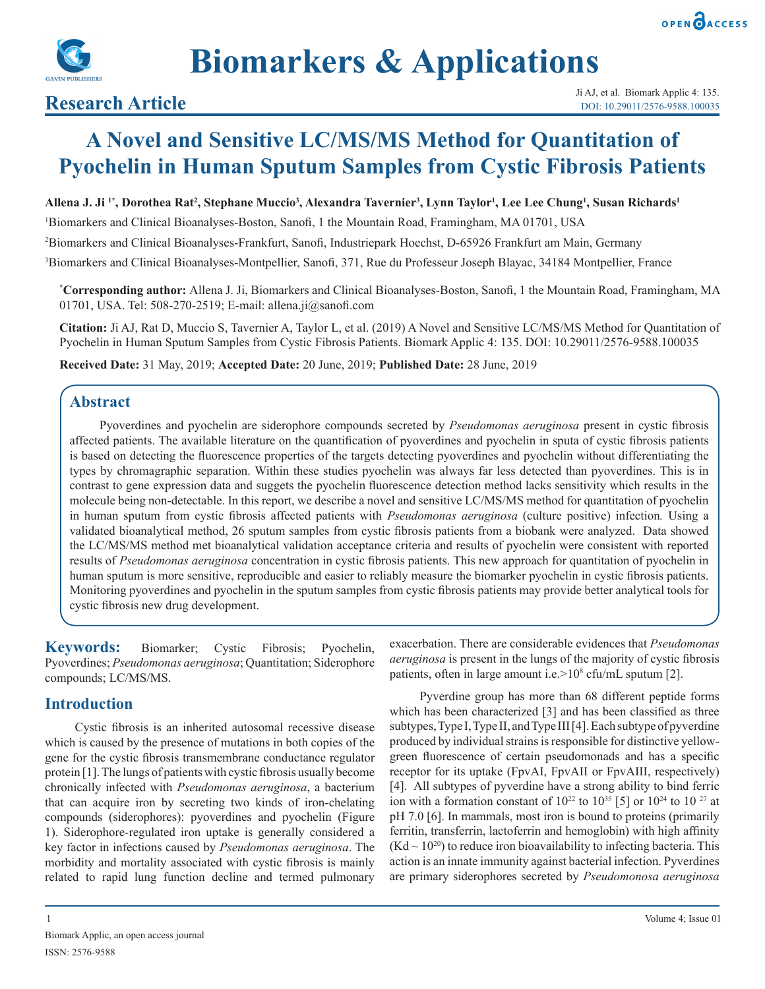



# **A Novel and Sensitive LC/MS/MS Method for Quantitation of Pyochelin in Human Sputum Samples from Cystic Fibrosis Patients**

**Allena J. Ji 1\*, Dorothea Rat2 , Stephane Muccio3 , Alexandra Tavernier3 , Lynn Taylor1 , Lee Lee Chung1 , Susan Richards1**

1 Biomarkers and Clinical Bioanalyses-Boston, Sanofi, 1 the Mountain Road, Framingham, MA 01701, USA

2 Biomarkers and Clinical Bioanalyses-Frankfurt, Sanofi, Industriepark Hoechst, D-65926 Frankfurt am Main, Germany

3 Biomarkers and Clinical Bioanalyses-Montpellier, Sanofi, 371, Rue du Professeur Joseph Blayac, 34184 Montpellier, France

**\* Corresponding author:** Allena J. Ji, Biomarkers and Clinical Bioanalyses-Boston, Sanofi, 1 the Mountain Road, Framingham, MA 01701, USA. Tel: 508-270-2519; E-mail: allena.ji@sanofi.com

**Citation:** Ji AJ, Rat D, Muccio S, Tavernier A, Taylor L, et al. (2019) A Novel and Sensitive LC/MS/MS Method for Quantitation of Pyochelin in Human Sputum Samples from Cystic Fibrosis Patients. Biomark Applic 4: 135. DOI: 10.29011/2576-9588.100035

**Received Date:** 31 May, 2019; **Accepted Date:** 20 June, 2019; **Published Date:** 28 June, 2019

### **Abstract**

Pyoverdines and pyochelin are siderophore compounds secreted by *Pseudomonas aeruginosa* present in cystic fibrosis affected patients. The available literature on the quantification of pyoverdines and pyochelin in sputa of cystic fibrosis patients is based on detecting the fluorescence properties of the targets detecting pyoverdines and pyochelin without differentiating the types by chromagraphic separation. Within these studies pyochelin was always far less detected than pyoverdines. This is in contrast to gene expression data and suggets the pyochelin fluorescence detection method lacks sensitivity which results in the molecule being non-detectable. In this report, we describe a novel and sensitive LC/MS/MS method for quantitation of pyochelin in human sputum from cystic fibrosis affected patients with *Pseudomonas aeruginosa* (culture positive) infection*.* Using a validated bioanalytical method, 26 sputum samples from cystic fibrosis patients from a biobank were analyzed. Data showed the LC/MS/MS method met bioanalytical validation acceptance criteria and results of pyochelin were consistent with reported results of *Pseudomonas aeruginosa* concentration in cystic fibrosis patients. This new approach for quantitation of pyochelin in human sputum is more sensitive, reproducible and easier to reliably measure the biomarker pyochelin in cystic fibrosis patients. Monitoring pyoverdines and pyochelin in the sputum samples from cystic fibrosis patients may provide better analytical tools for cystic fibrosis new drug development.

**Keywords:** Biomarker; Cystic Fibrosis; Pyochelin, Pyoverdines; *Pseudomonas aeruginosa*; Quantitation; Siderophore compounds; LC/MS/MS.

### **Introduction**

Cystic fibrosis is an inherited autosomal recessive disease which is caused by the presence of mutations in both copies of the gene for the cystic fibrosis transmembrane conductance regulator protein [1]. The lungs of patients with cystic fibrosis usually become chronically infected with *Pseudomonas aeruginosa*, a bacterium that can acquire iron by secreting two kinds of iron-chelating compounds (siderophores): pyoverdines and pyochelin (Figure 1). Siderophore-regulated iron uptake is generally considered a key factor in infections caused by *Pseudomonas aeruginosa*. The morbidity and mortality associated with cystic fibrosis is mainly related to rapid lung function decline and termed pulmonary

exacerbation. There are considerable evidences that *Pseudomonas aeruginosa* is present in the lungs of the majority of cystic fibrosis patients, often in large amount i.e.>10<sup>8</sup> cfu/mL sputum [2].

Pyverdine group has more than 68 different peptide forms which has been characterized [3] and has been classified as three subtypes, Type I, Type II, and Type III [4]. Each subtype of pyverdine produced by individual strains is responsible for distinctive yellowgreen fluorescence of certain pseudomonads and has a specific receptor for its uptake (FpvAI, FpvAII or FpvAIII, respectively) [4]. All subtypes of pyverdine have a strong ability to bind ferric ion with a formation constant of  $10^{22}$  to  $10^{35}$  [5] or  $10^{24}$  to  $10^{27}$  at pH 7.0 [6]. In mammals, most iron is bound to proteins (primarily ferritin, transferrin, lactoferrin and hemoglobin) with high affinity  $(Kd \sim 10^{20})$  to reduce iron bioavailability to infecting bacteria. This action is an innate immunity against bacterial infection. Pyverdines are primary siderophores secreted by *Pseudomonosa aeruginosa*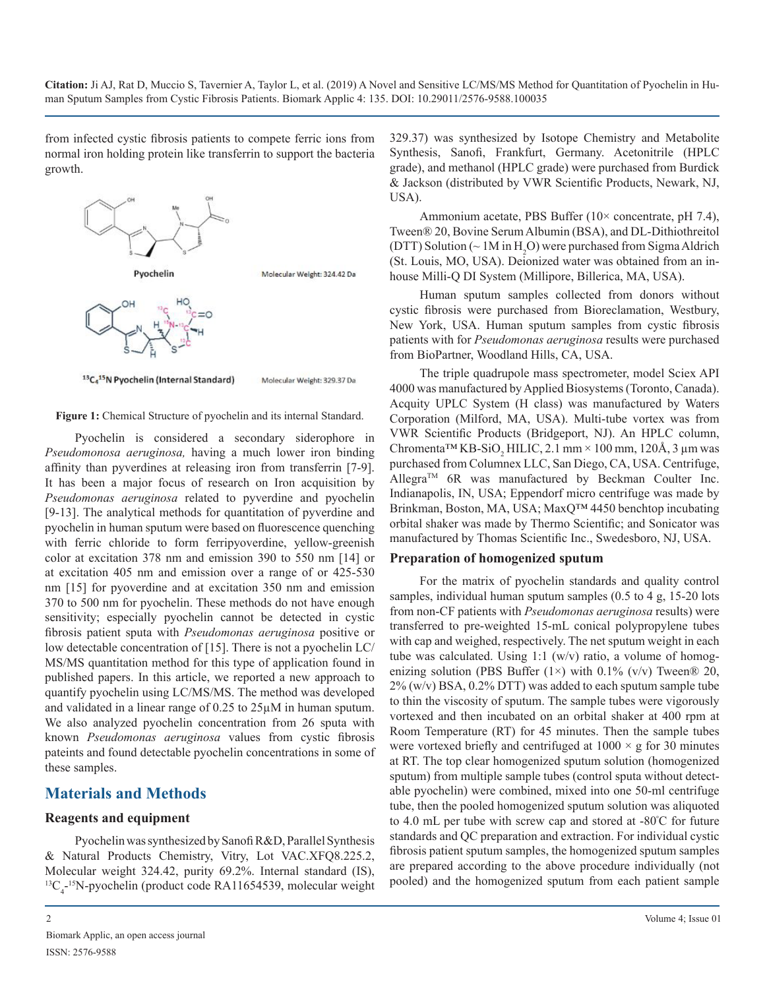from infected cystic fibrosis patients to compete ferric ions from normal iron holding protein like transferrin to support the bacteria growth.





Molecular Weight: 329.37 Da

**Figure 1:** Chemical Structure of pyochelin and its internal Standard.

Pyochelin is considered a secondary siderophore in *Pseudomonosa aeruginosa,* having a much lower iron binding affinity than pyverdines at releasing iron from transferrin [7-9]. It has been a major focus of research on Iron acquisition by *Pseudomonas aeruginosa* related to pyverdine and pyochelin [9-13]. The analytical methods for quantitation of pyverdine and pyochelin in human sputum were based on fluorescence quenching with ferric chloride to form ferripyoverdine, yellow-greenish color at excitation 378 nm and emission 390 to 550 nm [14] or at excitation 405 nm and emission over a range of or 425-530 nm [15] for pyoverdine and at excitation 350 nm and emission 370 to 500 nm for pyochelin. These methods do not have enough sensitivity; especially pyochelin cannot be detected in cystic fibrosis patient sputa with *Pseudomonas aeruginosa* positive or low detectable concentration of [15]. There is not a pyochelin LC/ MS/MS quantitation method for this type of application found in published papers. In this article, we reported a new approach to quantify pyochelin using LC/MS/MS. The method was developed and validated in a linear range of 0.25 to 25µM in human sputum. We also analyzed pyochelin concentration from 26 sputa with known *Pseudomonas aeruginosa* values from cystic fibrosis pateints and found detectable pyochelin concentrations in some of these samples.

### **Materials and Methods**

#### **Reagents and equipment**

Pyochelin was synthesized by Sanofi R&D, Parallel Synthesis & Natural Products Chemistry, Vitry, Lot VAC.XFQ8.225.2, Molecular weight 324.42, purity 69.2%. Internal standard (IS),  ${}^{13}C_{4}$ <sup>-15</sup>N-pyochelin (product code RA11654539, molecular weight 329.37) was synthesized by Isotope Chemistry and Metabolite Synthesis, Sanofi, Frankfurt, Germany. Acetonitrile (HPLC grade), and methanol (HPLC grade) were purchased from Burdick & Jackson (distributed by VWR Scientific Products, Newark, NJ, USA).

Ammonium acetate, PBS Buffer (10× concentrate, pH 7.4), Tween® 20, Bovine Serum Albumin (BSA), and DL-Dithiothreitol (DTT) Solution ( $\sim 1$ M in H<sub>2</sub>O) were purchased from Sigma Aldrich (St. Louis, MO, USA). Deionized water was obtained from an inhouse Milli-Q DI System (Millipore, Billerica, MA, USA).

Human sputum samples collected from donors without cystic fibrosis were purchased from Bioreclamation, Westbury, New York, USA. Human sputum samples from cystic fibrosis patients with for *Pseudomonas aeruginosa* results were purchased from BioPartner, Woodland Hills, CA, USA.

The triple quadrupole mass spectrometer, model Sciex API 4000 was manufactured by Applied Biosystems (Toronto, Canada). Acquity UPLC System (H class) was manufactured by Waters Corporation (Milford, MA, USA). Multi-tube vortex was from VWR Scientific Products (Bridgeport, NJ). An HPLC column, Chromenta<sup>™</sup> KB-SiO<sub>2</sub> HILIC, 2.1 mm × 100 mm, 120Å, 3 µm was purchased from Columnex LLC, San Diego, CA, USA. Centrifuge, Allegra<sup>TM</sup> 6R was manufactured by Beckman Coulter Inc. Indianapolis, IN, USA; Eppendorf micro centrifuge was made by Brinkman, Boston, MA, USA; MaxQ™ 4450 benchtop incubating orbital shaker was made by Thermo Scientific; and Sonicator was manufactured by Thomas Scientific Inc., Swedesboro, NJ, USA.

#### **Preparation of homogenized sputum**

For the matrix of pyochelin standards and quality control samples, individual human sputum samples (0.5 to 4 g, 15-20 lots from non-CF patients with *Pseudomonas aeruginosa* results) were transferred to pre-weighted 15-mL conical polypropylene tubes with cap and weighed, respectively. The net sputum weight in each tube was calculated. Using 1:1 (w/v) ratio, a volume of homogenizing solution (PBS Buffer  $(1\times)$  with 0.1%  $(v/v)$  Tween® 20, 2% (w/v) BSA, 0.2% DTT) was added to each sputum sample tube to thin the viscosity of sputum. The sample tubes were vigorously vortexed and then incubated on an orbital shaker at 400 rpm at Room Temperature (RT) for 45 minutes. Then the sample tubes were vortexed briefly and centrifuged at  $1000 \times g$  for 30 minutes at RT. The top clear homogenized sputum solution (homogenized sputum) from multiple sample tubes (control sputa without detectable pyochelin) were combined, mixed into one 50-ml centrifuge tube, then the pooled homogenized sputum solution was aliquoted to 4.0 mL per tube with screw cap and stored at -80<sup>º</sup> C for future standards and QC preparation and extraction. For individual cystic fibrosis patient sputum samples, the homogenized sputum samples are prepared according to the above procedure individually (not pooled) and the homogenized sputum from each patient sample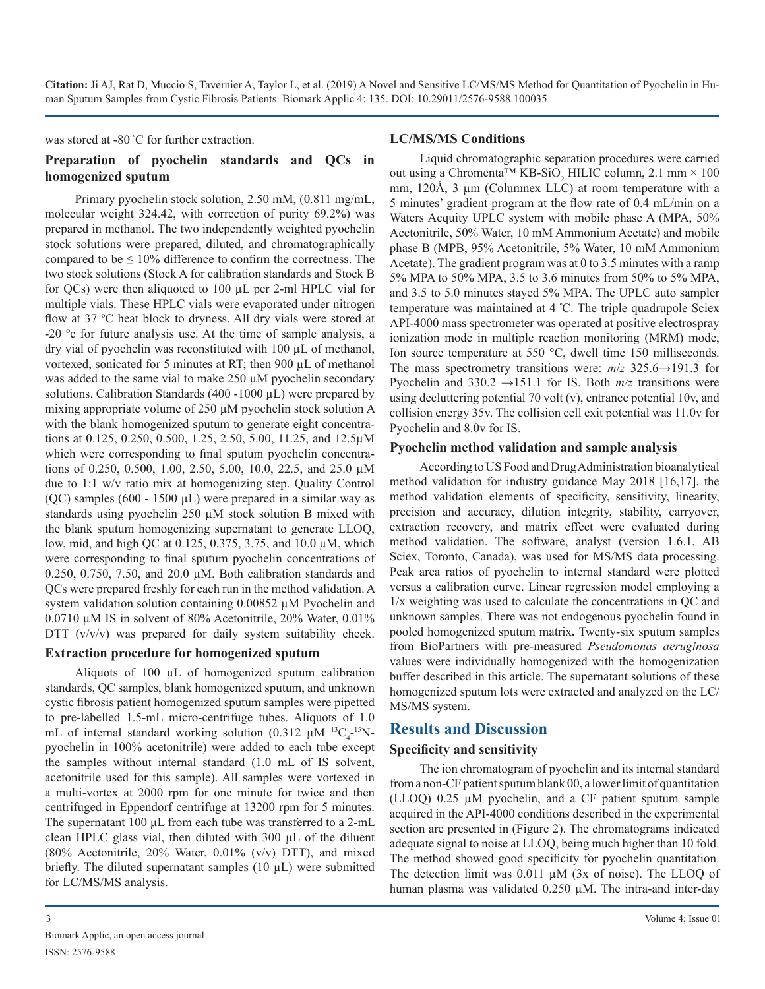was stored at -80 <sup>º</sup> C for further extraction.

# **Preparation of pyochelin standards and QCs in homogenized sputum**

Primary pyochelin stock solution, 2.50 mM, (0.811 mg/mL, molecular weight 324.42, with correction of purity 69.2%) was prepared in methanol. The two independently weighted pyochelin stock solutions were prepared, diluted, and chromatographically compared to be  $\leq 10\%$  difference to confirm the correctness. The two stock solutions (Stock A for calibration standards and Stock B for QCs) were then aliquoted to 100 µL per 2-ml HPLC vial for multiple vials. These HPLC vials were evaporated under nitrogen flow at 37 ºC heat block to dryness. All dry vials were stored at -20 ºc for future analysis use. At the time of sample analysis, a dry vial of pyochelin was reconstituted with 100 µL of methanol, vortexed, sonicated for 5 minutes at RT; then 900 µL of methanol was added to the same vial to make 250  $\mu$ M pyochelin secondary solutions. Calibration Standards (400 -1000  $\mu$ L) were prepared by mixing appropriate volume of 250 µM pyochelin stock solution A with the blank homogenized sputum to generate eight concentrations at 0.125, 0.250, 0.500, 1.25, 2.50, 5.00, 11.25, and 12.5µM which were corresponding to final sputum pyochelin concentrations of 0.250, 0.500, 1.00, 2.50, 5.00, 10.0, 22.5, and 25.0 µM due to 1:1 w/v ratio mix at homogenizing step. Quality Control (QC) samples (600 - 1500  $\mu$ L) were prepared in a similar way as standards using pyochelin 250 µM stock solution B mixed with the blank sputum homogenizing supernatant to generate LLOQ, low, mid, and high QC at 0.125, 0.375, 3.75, and 10.0 µM, which were corresponding to final sputum pyochelin concentrations of 0.250, 0.750, 7.50, and 20.0 µM. Both calibration standards and QCs were prepared freshly for each run in the method validation. A system validation solution containing 0.00852  $\mu$ M Pyochelin and 0.0710 µM IS in solvent of 80% Acetonitrile, 20% Water, 0.01% DTT  $(v/v/v)$  was prepared for daily system suitability check.

#### **Extraction procedure for homogenized sputum**

Aliquots of 100 µL of homogenized sputum calibration standards, QC samples, blank homogenized sputum, and unknown cystic fibrosis patient homogenized sputum samples were pipetted to pre-labelled 1.5-mL micro-centrifuge tubes. Aliquots of 1.0 mL of internal standard working solution (0.312  $\mu$ M <sup>13</sup>C<sub>4</sub>-<sup>15</sup>Npyochelin in 100% acetonitrile) were added to each tube except the samples without internal standard (1.0 mL of IS solvent, acetonitrile used for this sample). All samples were vortexed in a multi-vortex at 2000 rpm for one minute for twice and then centrifuged in Eppendorf centrifuge at 13200 rpm for 5 minutes. The supernatant 100  $\mu$ L from each tube was transferred to a 2-mL clean HPLC glass vial, then diluted with 300 µL of the diluent (80% Acetonitrile, 20% Water,  $0.01\%$  (v/v) DTT), and mixed briefly. The diluted supernatant samples (10 µL) were submitted for LC/MS/MS analysis.

#### **LC/MS/MS Conditions**

Liquid chromatographic separation procedures were carried out using a Chromenta<sup>TM</sup> KB-SiO<sub>2</sub> HILIC column, 2.1 mm × 100 mm, 120Å, 3 µm (Columnex LLC) at room temperature with a 5 minutes' gradient program at the flow rate of 0.4 mL/min on a Waters Acquity UPLC system with mobile phase A (MPA, 50% Acetonitrile, 50% Water, 10 mM Ammonium Acetate) and mobile phase B (MPB, 95% Acetonitrile, 5% Water, 10 mM Ammonium Acetate). The gradient program was at 0 to 3.5 minutes with a ramp 5% MPA to 50% MPA, 3.5 to 3.6 minutes from 50% to 5% MPA, and 3.5 to 5.0 minutes stayed 5% MPA. The UPLC auto sampler temperature was maintained at 4 <sup>º</sup> C. The triple quadrupole Sciex API-4000 mass spectrometer was operated at positive electrospray ionization mode in multiple reaction monitoring (MRM) mode, Ion source temperature at 550 °C, dwell time 150 milliseconds. The mass spectrometry transitions were:  $m/z$  325.6 $\rightarrow$ 191.3 for Pyochelin and 330.2  $\rightarrow$ 151.1 for IS. Both  $m/z$  transitions were using decluttering potential 70 volt (v), entrance potential 10v, and collision energy 35v. The collision cell exit potential was 11.0v for Pyochelin and 8.0v for IS.

#### **Pyochelin method validation and sample analysis**

According to US Food and Drug Administration bioanalytical method validation for industry guidance May 2018 [16,17], the method validation elements of specificity, sensitivity, linearity, precision and accuracy, dilution integrity, stability, carryover, extraction recovery, and matrix effect were evaluated during method validation. The software, analyst (version 1.6.1, AB Sciex, Toronto, Canada), was used for MS/MS data processing. Peak area ratios of pyochelin to internal standard were plotted versus a calibration curve. Linear regression model employing a 1/x weighting was used to calculate the concentrations in QC and unknown samples. There was not endogenous pyochelin found in pooled homogenized sputum matrix**.** Twenty-six sputum samples from BioPartners with pre-measured *Pseudomonas aeruginosa* values were individually homogenized with the homogenization buffer described in this article. The supernatant solutions of these homogenized sputum lots were extracted and analyzed on the LC/ MS/MS system.

# **Results and Discussion**

### **Specificity and sensitivity**

The ion chromatogram of pyochelin and its internal standard from a non-CF patient sputum blank 00, a lower limit of quantitation (LLOQ) 0.25 µM pyochelin, and a CF patient sputum sample acquired in the API-4000 conditions described in the experimental section are presented in (Figure 2). The chromatograms indicated adequate signal to noise at LLOQ, being much higher than 10 fold. The method showed good specificity for pyochelin quantitation. The detection limit was 0.011 µM (3x of noise). The LLOQ of human plasma was validated 0.250 µM. The intra-and inter-day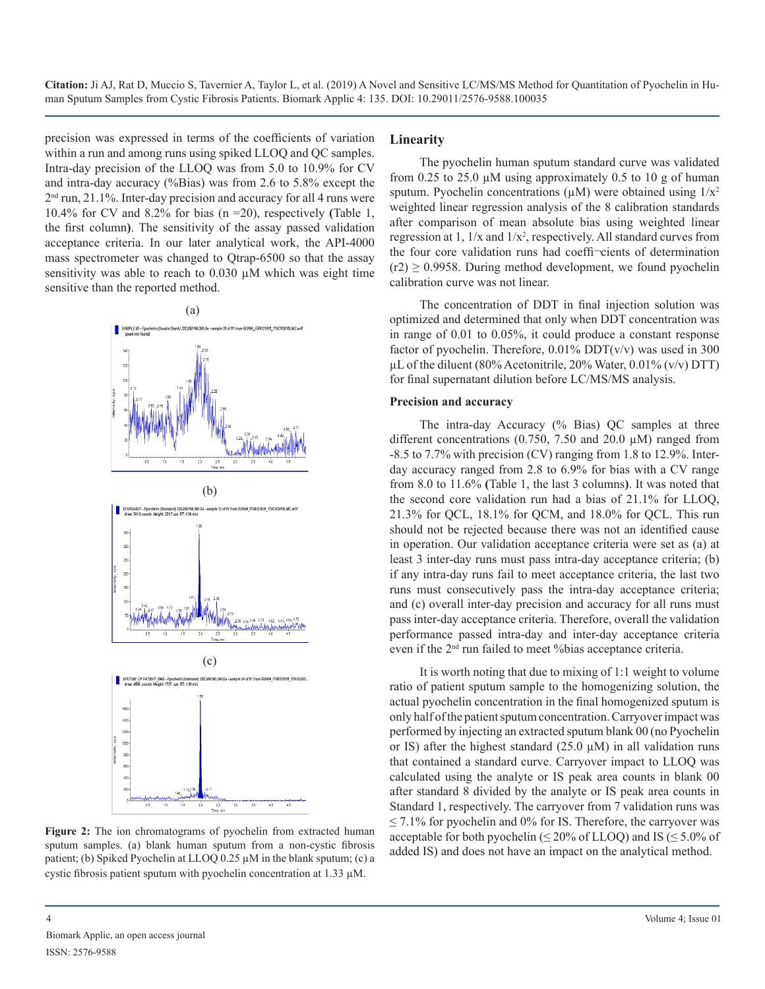precision was expressed in terms of the coefficients of variation within a run and among runs using spiked LLOQ and QC samples. Intra-day precision of the LLOQ was from 5.0 to 10.9% for CV and intra-day accuracy (%Bias) was from 2.6 to 5.8% except the  $2<sup>nd</sup>$  run, 21.1%. Inter-day precision and accuracy for all 4 runs were 10.4% for CV and 8.2% for bias (n =20), respectively **(**Table 1, the first column**)**. The sensitivity of the assay passed validation acceptance criteria. In our later analytical work, the API-4000 mass spectrometer was changed to Qtrap-6500 so that the assay sensitivity was able to reach to 0.030 µM which was eight time sensitive than the reported method.



**Figure 2:** The ion chromatograms of pyochelin from extracted human sputum samples. (a) blank human sputum from a non-cystic fibrosis patient; (b) Spiked Pyochelin at LLOQ 0.25 µM in the blank sputum; (c) a cystic fibrosis patient sputum with pyochelin concentration at 1.33 µM.

#### **Linearity**

The pyochelin human sputum standard curve was validated from 0.25 to 25.0 µM using approximately 0.5 to 10 g of human sputum. Pyochelin concentrations ( $\mu$ M) were obtained using  $1/x^2$ weighted linear regression analysis of the 8 calibration standards after comparison of mean absolute bias using weighted linear regression at  $1, 1/x$  and  $1/x^2$ , respectively. All standard curves from the four core validation runs had coeffi¬cients of determination  $(r2) \ge 0.9958$ . During method development, we found pyochelin calibration curve was not linear.

The concentration of DDT in final injection solution was optimized and determined that only when DDT concentration was in range of 0.01 to 0.05%, it could produce a constant response factor of pyochelin. Therefore,  $0.01\%$  DDT(v/v) was used in 300  $\mu$ L of the diluent (80% Acetonitrile, 20% Water, 0.01% (v/v) DTT) for final supernatant dilution before LC/MS/MS analysis.

#### **Precision and accuracy**

The intra-day Accuracy (% Bias) QC samples at three different concentrations (0.750, 7.50 and 20.0 µM) ranged from -8.5 to 7.7% with precision (CV) ranging from 1.8 to 12.9%. Interday accuracy ranged from 2.8 to 6.9% for bias with a CV range from 8.0 to 11.6% **(**Table 1, the last 3 columns**)**. It was noted that the second core validation run had a bias of 21.1% for LLOQ, 21.3% for QCL, 18.1% for QCM, and 18.0% for QCL. This run should not be rejected because there was not an identified cause in operation. Our validation acceptance criteria were set as (a) at least 3 inter-day runs must pass intra-day acceptance criteria; (b) if any intra-day runs fail to meet acceptance criteria, the last two runs must consecutively pass the intra-day acceptance criteria; and (c) overall inter-day precision and accuracy for all runs must pass inter-day acceptance criteria. Therefore, overall the validation performance passed intra-day and inter-day acceptance criteria even if the 2nd run failed to meet %bias acceptance criteria.

It is worth noting that due to mixing of 1:1 weight to volume ratio of patient sputum sample to the homogenizing solution, the actual pyochelin concentration in the final homogenized sputum is only half of the patient sputum concentration. Carryover impact was performed by injecting an extracted sputum blank 00 (no Pyochelin or IS) after the highest standard  $(25.0 \mu M)$  in all validation runs that contained a standard curve. Carryover impact to LLOQ was calculated using the analyte or IS peak area counts in blank 00 after standard 8 divided by the analyte or IS peak area counts in Standard 1, respectively. The carryover from 7 validation runs was  $\leq$  7.1% for pyochelin and 0% for IS. Therefore, the carryover was acceptable for both pyochelin ( $\leq$  20% of LLOQ) and IS ( $\leq$  5.0% of added IS) and does not have an impact on the analytical method.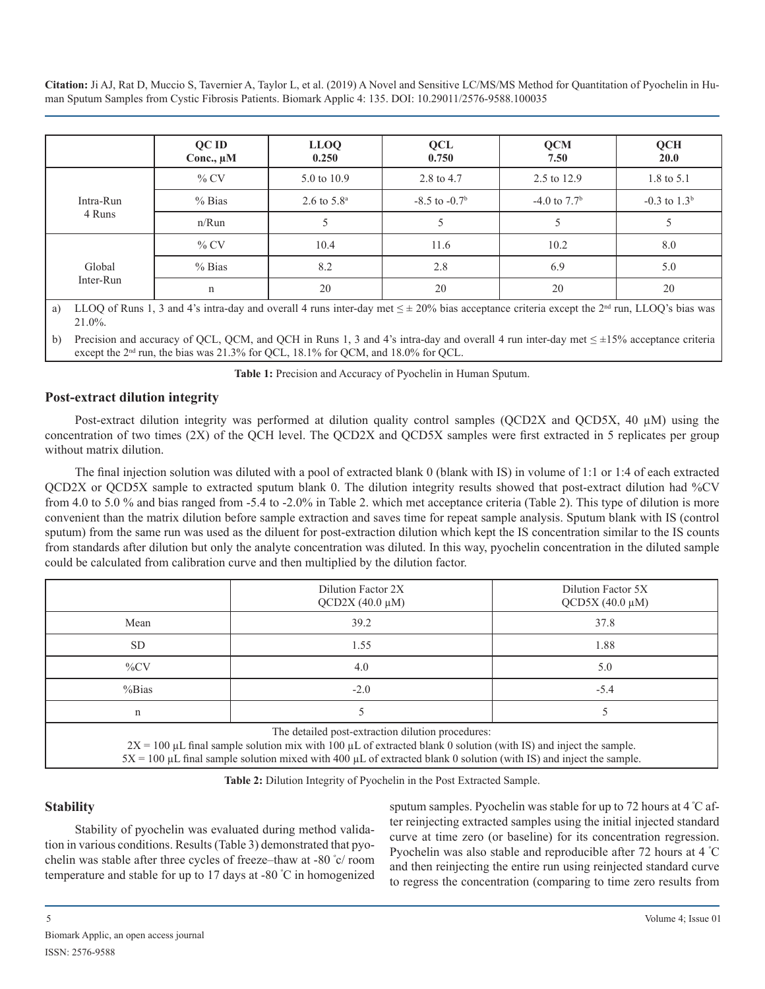|           | QC ID<br>Conc., $\mu$ M | <b>LLOQ</b><br>0.250    | <b>QCL</b><br>0.750 | <b>QCM</b><br>7.50 | QCH<br>20.0      |
|-----------|-------------------------|-------------------------|---------------------|--------------------|------------------|
|           | $%$ CV                  | 5.0 to 10.9             | 2.8 to 4.7          | 2.5 to 12.9        | 1.8 to 5.1       |
| Intra-Run | $%$ Bias                | 2.6 to $5.8^{\text{a}}$ | $-8.5$ to $-0.7b$   | $-4.0$ to $7.7b$   | $-0.3$ to $1.3b$ |
| 4 Runs    | $n/R$ un                |                         |                     |                    |                  |
|           | $\%$ CV                 | 10.4                    | 11.6                | 10.2               | 8.0              |
| Global    | $%$ Bias                | 8.2                     | 2.8                 | 6.9                | 5.0              |
| Inter-Run | n                       | 20                      | 20                  | 20                 | 20               |

a) LLOQ of Runs 1, 3 and 4's intra-day and overall 4 runs inter-day met  $\leq \pm 20\%$  bias acceptance criteria except the 2<sup>nd</sup> run, LLOQ's bias was 21.0%.

b) Precision and accuracy of OCL, OCM, and OCH in Runs 1, 3 and 4's intra-day and overall 4 run inter-day met  $\leq \pm 15\%$  acceptance criteria except the 2<sup>nd</sup> run, the bias was 21.3% for QCL, 18.1% for QCM, and 18.0% for QCL.

**Table 1:** Precision and Accuracy of Pyochelin in Human Sputum.

#### **Post-extract dilution integrity**

Post-extract dilution integrity was performed at dilution quality control samples (QCD2X and QCD5X, 40  $\mu$ M) using the concentration of two times (2X) of the QCH level. The QCD2X and QCD5X samples were first extracted in 5 replicates per group without matrix dilution.

The final injection solution was diluted with a pool of extracted blank 0 (blank with IS) in volume of 1:1 or 1:4 of each extracted QCD2X or QCD5X sample to extracted sputum blank 0. The dilution integrity results showed that post-extract dilution had %CV from 4.0 to 5.0 % and bias ranged from -5.4 to -2.0% in Table 2. which met acceptance criteria (Table 2). This type of dilution is more convenient than the matrix dilution before sample extraction and saves time for repeat sample analysis. Sputum blank with IS (control sputum) from the same run was used as the diluent for post-extraction dilution which kept the IS concentration similar to the IS counts from standards after dilution but only the analyte concentration was diluted. In this way, pyochelin concentration in the diluted sample could be calculated from calibration curve and then multiplied by the dilution factor.

|                                                                                                                                                                                                                                                                                                                 | Dilution Factor 2X<br>$QCD2X (40.0 \mu M)$ | Dilution Factor 5X<br>$QCD5X (40.0 \mu M)$ |  |  |  |
|-----------------------------------------------------------------------------------------------------------------------------------------------------------------------------------------------------------------------------------------------------------------------------------------------------------------|--------------------------------------------|--------------------------------------------|--|--|--|
| Mean                                                                                                                                                                                                                                                                                                            | 39.2                                       | 37.8                                       |  |  |  |
| <b>SD</b>                                                                                                                                                                                                                                                                                                       | 1.55                                       | 1.88                                       |  |  |  |
| $\%CV$                                                                                                                                                                                                                                                                                                          | 4.0                                        | 5.0                                        |  |  |  |
| % Bias                                                                                                                                                                                                                                                                                                          | $-2.0$                                     | $-5.4$                                     |  |  |  |
| n                                                                                                                                                                                                                                                                                                               |                                            |                                            |  |  |  |
| The detailed post-extraction dilution procedures:<br>$2X = 100 \mu L$ final sample solution mix with 100 $\mu L$ of extracted blank 0 solution (with IS) and inject the sample.<br>$5X = 100 \mu L$ final sample solution mixed with 400 $\mu L$ of extracted blank 0 solution (with IS) and inject the sample. |                                            |                                            |  |  |  |

**Table 2:** Dilution Integrity of Pyochelin in the Post Extracted Sample.

### **Stability**

Stability of pyochelin was evaluated during method validation in various conditions. Results (Table 3) demonstrated that pyochelin was stable after three cycles of freeze–thaw at ‑80 <sup>º</sup> c/ room temperature and stable for up to 17 days at -80 <sup>º</sup> C in homogenized sputum samples. Pyochelin was stable for up to 72 hours at 4 <sup>º</sup> C after reinjecting extracted samples using the initial injected standard curve at time zero (or baseline) for its concentration regression. Pyochelin was also stable and reproducible after 72 hours at 4 °C and then reinjecting the entire run using reinjected standard curve to regress the concentration (comparing to time zero results from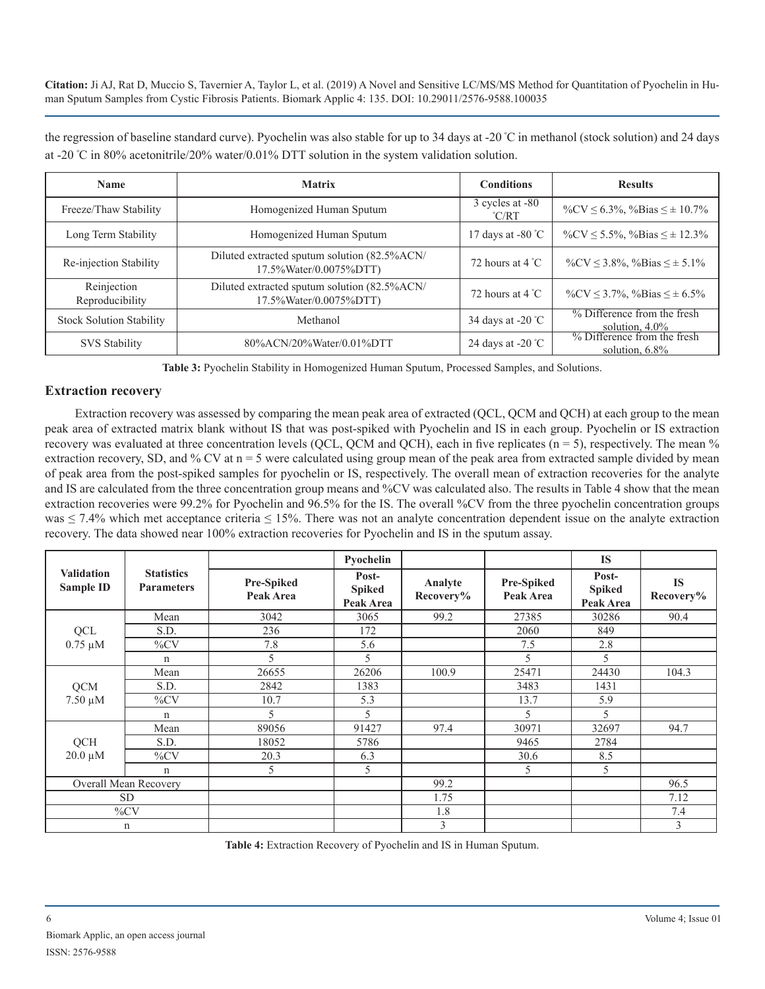the regression of baseline standard curve). Pyochelin was also stable for up to 34 days at -20 <sup>º</sup> C in methanol (stock solution) and 24 days at -20 º C in 80% acetonitrile/20% water/0.01% DTT solution in the system validation solution.

| <b>Name</b>                     | <b>Matrix</b>                                                          | <b>Conditions</b>                  | <b>Results</b>                                                                  |  |
|---------------------------------|------------------------------------------------------------------------|------------------------------------|---------------------------------------------------------------------------------|--|
| Freeze/Thaw Stability           | Homogenized Human Sputum                                               | 3 cycles at -80<br>$\mathrm{C/RT}$ |                                                                                 |  |
| Long Term Stability             | Homogenized Human Sputum                                               | 17 days at $-80^{\circ}$ C         | % $\text{CV} \leq 5.5\%$ , % Bias $\leq \pm 12.3\%$                             |  |
| Re-injection Stability          | Diluted extracted sputum solution (82.5%ACN/<br>17.5%Water/0.0075%DTT) | 72 hours at 4 $\degree$ C          | % CV $\leq$ 3.8%, % Bias $\leq \pm 5.1\%$                                       |  |
| Reinjection<br>Reproducibility  | Diluted extracted sputum solution (82.5%ACN/<br>17.5%Water/0.0075%DTT) | 72 hours at $4^{\circ}$ C          | % $\text{CV} \leq 3.7\%$ , % Bias $\leq \pm 6.5\%$                              |  |
| <b>Stock Solution Stability</b> | Methanol                                                               | 34 days at $-20^{\circ}$ C         | % Difference from the fresh<br>solution, $4.0\%$<br>% Difference from the fresh |  |
| <b>SVS Stability</b>            | 80%ACN/20%Water/0.01%DTT                                               | 24 days at -20 $^{\circ}$ C        | solution, $6.8\%$                                                               |  |

**Table 3:** Pyochelin Stability in Homogenized Human Sputum, Processed Samples, and Solutions.

#### **Extraction recovery**

Extraction recovery was assessed by comparing the mean peak area of extracted (QCL, QCM and QCH) at each group to the mean peak area of extracted matrix blank without IS that was post-spiked with Pyochelin and IS in each group. Pyochelin or IS extraction recovery was evaluated at three concentration levels (QCL, QCM and QCH), each in five replicates ( $n = 5$ ), respectively. The mean % extraction recovery, SD, and % CV at  $n = 5$  were calculated using group mean of the peak area from extracted sample divided by mean of peak area from the post-spiked samples for pyochelin or IS, respectively. The overall mean of extraction recoveries for the analyte and IS are calculated from the three concentration group means and %CV was calculated also. The results in Table 4 show that the mean extraction recoveries were 99.2% for Pyochelin and 96.5% for the IS. The overall %CV from the three pyochelin concentration groups was  $\leq 7.4\%$  which met acceptance criteria  $\leq 15\%$ . There was not an analyte concentration dependent issue on the analyte extraction recovery. The data showed near 100% extraction recoveries for Pyochelin and IS in the sputum assay.

|                                       |                                        |                                | Pyochelin                           |                      |                                | <b>IS</b>                           |                        |
|---------------------------------------|----------------------------------------|--------------------------------|-------------------------------------|----------------------|--------------------------------|-------------------------------------|------------------------|
| <b>Validation</b><br><b>Sample ID</b> | <b>Statistics</b><br><b>Parameters</b> | <b>Pre-Spiked</b><br>Peak Area | Post-<br><b>Spiked</b><br>Peak Area | Analyte<br>Recovery% | <b>Pre-Spiked</b><br>Peak Area | Post-<br><b>Spiked</b><br>Peak Area | <b>IS</b><br>Recovery% |
|                                       | Mean                                   | 3042                           | 3065                                | 99.2                 | 27385                          | 30286                               | 90.4                   |
| QCL                                   | S.D.                                   | 236                            | 172                                 |                      | 2060                           | 849                                 |                        |
| $0.75 \mu M$                          | $\%CV$                                 | 7.8                            | 5.6                                 |                      | 7.5                            | 2.8                                 |                        |
|                                       | n                                      | 5                              | 5                                   |                      | 5                              | 5                                   |                        |
|                                       | Mean                                   | 26655                          | 26206                               | 100.9                | 25471                          | 24430                               | 104.3                  |
| <b>QCM</b>                            | S.D.                                   | 2842                           | 1383                                |                      | 3483                           | 1431                                |                        |
| $7.50 \mu M$                          | $\%CV$                                 | 10.7                           | 5.3                                 |                      | 13.7                           | 5.9                                 |                        |
|                                       | n                                      | 5                              | 5                                   |                      | 5                              | 5                                   |                        |
|                                       | Mean                                   | 89056                          | 91427                               | 97.4                 | 30971                          | 32697                               | 94.7                   |
| <b>OCH</b>                            | S.D.                                   | 18052                          | 5786                                |                      | 9465                           | 2784                                |                        |
| $20.0 \mu M$                          | $\%CV$                                 | 20.3                           | 6.3                                 |                      | 30.6                           | 8.5                                 |                        |
|                                       | n                                      | 5                              | 5                                   |                      | 5                              | 5                                   |                        |
| Overall Mean Recovery                 |                                        |                                |                                     | 99.2                 |                                |                                     | 96.5                   |
| <b>SD</b>                             |                                        |                                |                                     | 1.75                 |                                |                                     | 7.12                   |
|                                       | $\%CV$                                 |                                |                                     | 1.8                  |                                |                                     | 7.4                    |
|                                       | $\mathbf n$                            |                                |                                     | 3                    |                                |                                     | 3                      |

**Table 4:** Extraction Recovery of Pyochelin and IS in Human Sputum.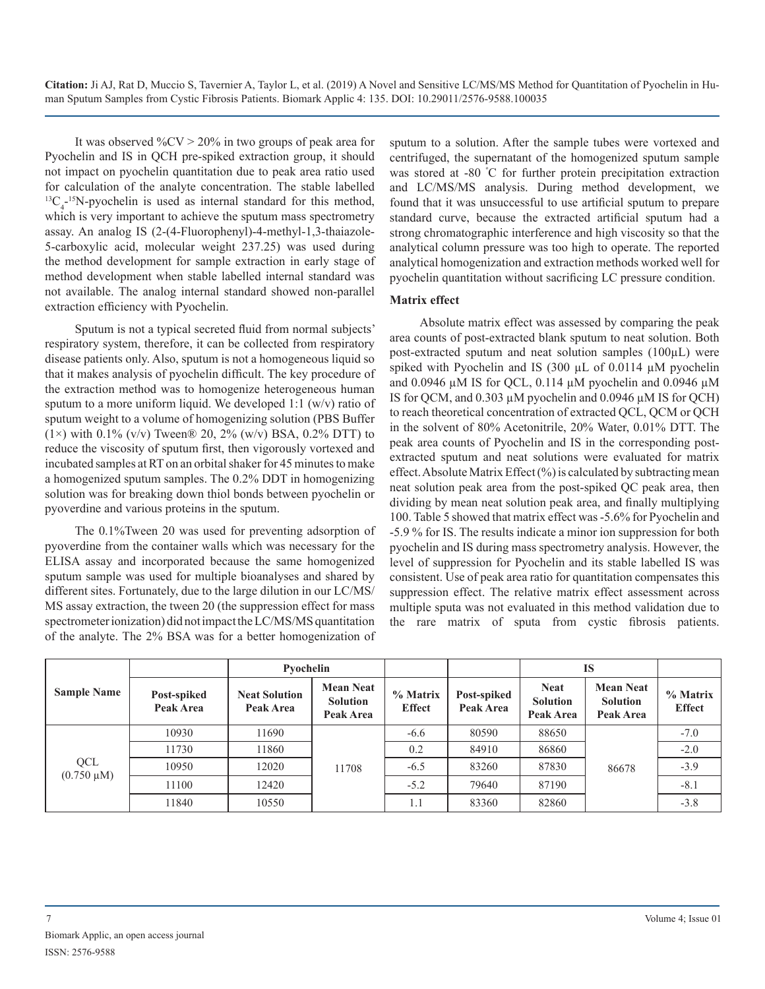It was observed  $\%$ CV  $>$  20% in two groups of peak area for Pyochelin and IS in QCH pre-spiked extraction group, it should not impact on pyochelin quantitation due to peak area ratio used for calculation of the analyte concentration. The stable labelled  ${}^{13}C_{4}$ <sup>-15</sup>N-pyochelin is used as internal standard for this method, which is very important to achieve the sputum mass spectrometry assay. An analog IS (2-(4-Fluorophenyl)-4-methyl-1,3-thaiazole-5-carboxylic acid, molecular weight 237.25) was used during the method development for sample extraction in early stage of method development when stable labelled internal standard was not available. The analog internal standard showed non-parallel extraction efficiency with Pyochelin.

Sputum is not a typical secreted fluid from normal subjects' respiratory system, therefore, it can be collected from respiratory disease patients only. Also, sputum is not a homogeneous liquid so that it makes analysis of pyochelin difficult. The key procedure of the extraction method was to homogenize heterogeneous human sputum to a more uniform liquid. We developed 1:1 (w/v) ratio of sputum weight to a volume of homogenizing solution (PBS Buffer (1×) with 0.1% (v/v) Tween® 20, 2% (w/v) BSA, 0.2% DTT) to reduce the viscosity of sputum first, then vigorously vortexed and incubated samples at RT on an orbital shaker for 45 minutes to make a homogenized sputum samples. The 0.2% DDT in homogenizing solution was for breaking down thiol bonds between pyochelin or pyoverdine and various proteins in the sputum.

The 0.1%Tween 20 was used for preventing adsorption of pyoverdine from the container walls which was necessary for the ELISA assay and incorporated because the same homogenized sputum sample was used for multiple bioanalyses and shared by different sites. Fortunately, due to the large dilution in our LC/MS/ MS assay extraction, the tween 20 (the suppression effect for mass spectrometer ionization) did not impact the LC/MS/MS quantitation of the analyte. The 2% BSA was for a better homogenization of sputum to a solution. After the sample tubes were vortexed and centrifuged, the supernatant of the homogenized sputum sample was stored at -80 °C for further protein precipitation extraction and LC/MS/MS analysis. During method development, we found that it was unsuccessful to use artificial sputum to prepare standard curve, because the extracted artificial sputum had a strong chromatographic interference and high viscosity so that the analytical column pressure was too high to operate. The reported analytical homogenization and extraction methods worked well for pyochelin quantitation without sacrificing LC pressure condition.

#### **Matrix effect**

Absolute matrix effect was assessed by comparing the peak area counts of post-extracted blank sputum to neat solution. Both post-extracted sputum and neat solution samples (100µL) were spiked with Pyochelin and IS (300 µL of 0.0114 µM pyochelin and 0.0946  $\mu$ M IS for QCL, 0.114  $\mu$ M pyochelin and 0.0946  $\mu$ M IS for QCM, and 0.303 µM pyochelin and 0.0946 µM IS for QCH) to reach theoretical concentration of extracted QCL, QCM or QCH in the solvent of 80% Acetonitrile, 20% Water, 0.01% DTT. The peak area counts of Pyochelin and IS in the corresponding postextracted sputum and neat solutions were evaluated for matrix effect. Absolute Matrix Effect (%) is calculated by subtracting mean neat solution peak area from the post-spiked QC peak area, then dividing by mean neat solution peak area, and finally multiplying 100. Table 5 showed that matrix effect was -5.6% for Pyochelin and -5.9 % for IS. The results indicate a minor ion suppression for both pyochelin and IS during mass spectrometry analysis. However, the level of suppression for Pyochelin and its stable labelled IS was consistent. Use of peak area ratio for quantitation compensates this suppression effect. The relative matrix effect assessment across multiple sputa was not evaluated in this method validation due to the rare matrix of sputa from cystic fibrosis patients.

|                        |                          | Pvochelin                         |                                                  |                              |                          | <b>IS</b>                                   |                                                  |                           |
|------------------------|--------------------------|-----------------------------------|--------------------------------------------------|------------------------------|--------------------------|---------------------------------------------|--------------------------------------------------|---------------------------|
| <b>Sample Name</b>     | Post-spiked<br>Peak Area | <b>Neat Solution</b><br>Peak Area | <b>Mean Neat</b><br><b>Solution</b><br>Peak Area | $\%$ Matrix<br><b>Effect</b> | Post-spiked<br>Peak Area | <b>Neat</b><br><b>Solution</b><br>Peak Area | <b>Mean Neat</b><br><b>Solution</b><br>Peak Area | % Matrix<br><b>Effect</b> |
| QCL<br>$(0.750 \mu M)$ | 10930                    | 11690                             | 11708                                            | $-6.6$                       | 80590                    | 88650                                       | 86678                                            | $-7.0$                    |
|                        | 11730                    | 11860                             |                                                  | 0.2                          | 84910                    | 86860                                       |                                                  | $-2.0$                    |
|                        | 10950                    | 12020                             |                                                  | $-6.5$                       | 83260                    | 87830                                       |                                                  | $-3.9$                    |
|                        | 11100                    | 12420                             |                                                  | $-5.2$                       | 79640                    | 87190                                       |                                                  | $-8.1$                    |
|                        | 11840                    | 10550                             |                                                  | 1.1                          | 83360                    | 82860                                       |                                                  | $-3.8$                    |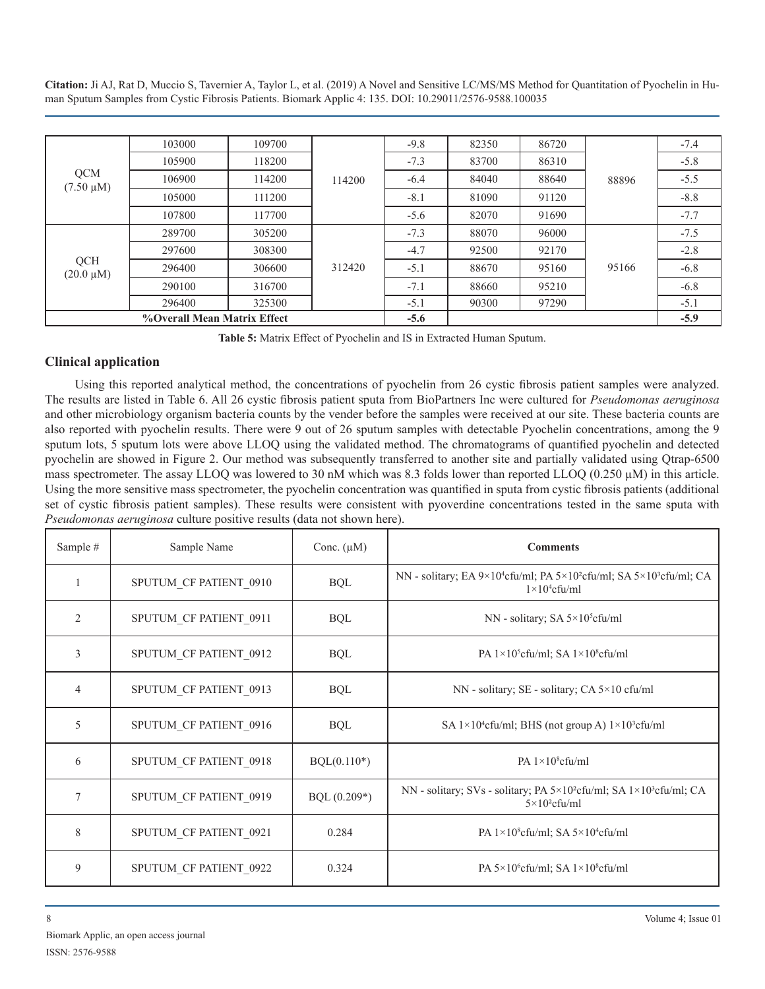| <b>QCM</b><br>$(7.50 \mu M)$ | 103000 | 109700 | 114200 | $-9.8$ | 82350 | 86720 | 88896 | $-7.4$ |
|------------------------------|--------|--------|--------|--------|-------|-------|-------|--------|
|                              | 105900 | 118200 |        | $-7.3$ | 83700 | 86310 |       | $-5.8$ |
|                              | 106900 | 114200 |        | $-6.4$ | 84040 | 88640 |       | $-5.5$ |
|                              | 105000 | 111200 |        | $-8.1$ | 81090 | 91120 |       | $-8.8$ |
|                              | 107800 | 117700 |        | $-5.6$ | 82070 | 91690 |       | $-7.7$ |
|                              | 289700 | 305200 | 312420 | $-7.3$ | 88070 | 96000 | 95166 | $-7.5$ |
|                              | 297600 | 308300 |        | $-4.7$ | 92500 | 92170 |       | $-2.8$ |
| QCH<br>$(20.0 \mu M)$        | 296400 | 306600 |        | $-5.1$ | 88670 | 95160 |       | $-6.8$ |
|                              | 290100 | 316700 |        | $-7.1$ | 88660 | 95210 |       | $-6.8$ |
|                              | 296400 | 325300 |        | $-5.1$ | 90300 | 97290 |       | $-5.1$ |
| %Overall Mean Matrix Effect  |        |        |        | $-5.6$ |       |       |       | $-5.9$ |

**Table 5:** Matrix Effect of Pyochelin and IS in Extracted Human Sputum.

# **Clinical application**

Using this reported analytical method, the concentrations of pyochelin from 26 cystic fibrosis patient samples were analyzed. The results are listed in Table 6. All 26 cystic fibrosis patient sputa from BioPartners Inc were cultured for *Pseudomonas aeruginosa* and other microbiology organism bacteria counts by the vender before the samples were received at our site. These bacteria counts are also reported with pyochelin results. There were 9 out of 26 sputum samples with detectable Pyochelin concentrations, among the 9 sputum lots, 5 sputum lots were above LLOQ using the validated method. The chromatograms of quantified pyochelin and detected pyochelin are showed in Figure 2. Our method was subsequently transferred to another site and partially validated using Qtrap-6500 mass spectrometer. The assay LLOQ was lowered to 30 nM which was 8.3 folds lower than reported LLOQ (0.250  $\mu$ M) in this article. Using the more sensitive mass spectrometer, the pyochelin concentration was quantified in sputa from cystic fibrosis patients (additional set of cystic fibrosis patient samples). These results were consistent with pyoverdine concentrations tested in the same sputa with *Pseudomonas aeruginosa* culture positive results (data not shown here).

| Sample #       | Sample Name            | Conc. $(\mu M)$ | <b>Comments</b>                                                                                                            |
|----------------|------------------------|-----------------|----------------------------------------------------------------------------------------------------------------------------|
|                | SPUTUM CF PATIENT 0910 | <b>BQL</b>      | NN - solitary; EA $9 \times 10^4$ cfu/ml; PA $5 \times 10^2$ cfu/ml; SA $5 \times 10^3$ cfu/ml; CA<br>$1\times10^4$ cfu/ml |
| 2              | SPUTUM CF PATIENT 0911 | <b>BQL</b>      | NN - solitary; SA $5 \times 10^5$ cfu/ml                                                                                   |
| 3              | SPUTUM CF PATIENT 0912 | <b>BQL</b>      | PA $1\times10^5$ cfu/ml; SA $1\times10^8$ cfu/ml                                                                           |
| $\overline{4}$ | SPUTUM CF PATIENT 0913 | <b>BQL</b>      | NN - solitary; SE - solitary; CA 5×10 cfu/ml                                                                               |
| $\overline{5}$ | SPUTUM CF PATIENT 0916 | <b>BQL</b>      | SA $1\times10^4$ cfu/ml; BHS (not group A) $1\times10^3$ cfu/ml                                                            |
| 6              | SPUTUM CF PATIENT 0918 | $BQL(0.110*)$   | PA $1\times10^8$ cfu/ml                                                                                                    |
| $\overline{7}$ | SPUTUM CF PATIENT 0919 | $BQL (0.209*)$  | NN - solitary; SVs - solitary; PA $5 \times 10^2$ cfu/ml; SA $1 \times 10^3$ cfu/ml; CA<br>$5\times10^2$ cfu/ml            |
| 8              | SPUTUM CF PATIENT 0921 | 0.284           | PA $1\times10^8$ cfu/ml; SA $5\times10^4$ cfu/ml                                                                           |
| 9              | SPUTUM CF PATIENT 0922 | 0.324           | PA $5\times10^6$ cfu/ml; SA $1\times10^8$ cfu/ml                                                                           |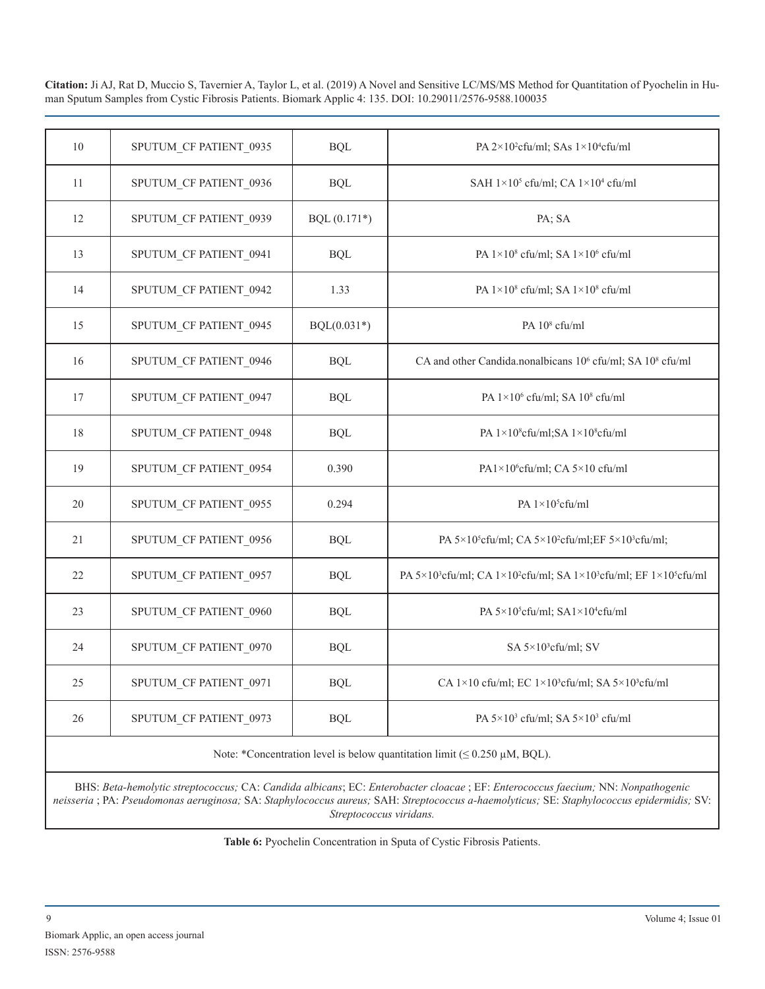| 10 | SPUTUM CF PATIENT 0935 | <b>BQL</b>     | PA 2×10 <sup>2</sup> cfu/ml; SAs 1×10 <sup>4</sup> cfu/ml                                                          |
|----|------------------------|----------------|--------------------------------------------------------------------------------------------------------------------|
| 11 | SPUTUM CF PATIENT 0936 | <b>BQL</b>     | SAH $1\times10^5$ cfu/ml; CA $1\times10^4$ cfu/ml                                                                  |
| 12 | SPUTUM CF PATIENT 0939 | $BQL (0.171*)$ | PA; SA                                                                                                             |
| 13 | SPUTUM CF PATIENT 0941 | <b>BQL</b>     | PA 1×10 <sup>8</sup> cfu/ml; SA 1×10 <sup>6</sup> cfu/ml                                                           |
| 14 | SPUTUM_CF PATIENT_0942 | 1.33           | PA 1×10 <sup>8</sup> cfu/ml; SA 1×10 <sup>8</sup> cfu/ml                                                           |
| 15 | SPUTUM CF PATIENT 0945 | $BQL(0.031*)$  | PA 10 <sup>8</sup> cfu/ml                                                                                          |
| 16 | SPUTUM_CF PATIENT_0946 | <b>BQL</b>     | CA and other Candida.nonalbicans 10 <sup>6</sup> cfu/ml; SA 10 <sup>8</sup> cfu/ml                                 |
| 17 | SPUTUM_CF PATIENT_0947 | <b>BQL</b>     | PA $1\times10^6$ cfu/ml; SA $10^8$ cfu/ml                                                                          |
| 18 | SPUTUM_CF PATIENT_0948 | <b>BQL</b>     | PA 1×10 <sup>8</sup> cfu/ml;SA 1×10 <sup>8</sup> cfu/ml                                                            |
| 19 | SPUTUM_CF PATIENT_0954 | 0.390          | PA1×10 <sup>6</sup> cfu/ml; CA 5×10 cfu/ml                                                                         |
| 20 | SPUTUM_CF PATIENT_0955 | 0.294          | PA 1×10 <sup>5</sup> cfu/ml                                                                                        |
| 21 | SPUTUM CF PATIENT 0956 | <b>BQL</b>     | PA 5×10 <sup>5</sup> cfu/ml; CA 5×10 <sup>2</sup> cfu/ml;EF 5×10 <sup>3</sup> cfu/ml;                              |
| 22 | SPUTUM CF PATIENT 0957 | <b>BQL</b>     | PA 5×10 <sup>3</sup> cfu/ml; CA 1×10 <sup>2</sup> cfu/ml; SA 1×10 <sup>3</sup> cfu/ml; EF 1×10 <sup>5</sup> cfu/ml |
| 23 | SPUTUM_CF PATIENT_0960 | <b>BQL</b>     | PA 5×10 <sup>5</sup> cfu/ml; SA1×10 <sup>4</sup> cfu/ml                                                            |
| 24 | SPUTUM_CF PATIENT_0970 | <b>BQL</b>     | SA 5×10 <sup>3</sup> cfu/ml; SV                                                                                    |
| 25 | SPUTUM_CF PATIENT_0971 | <b>BQL</b>     | CA 1×10 cfu/ml; EC 1×10 <sup>3</sup> cfu/ml; SA 5×10 <sup>3</sup> cfu/ml                                           |
| 26 | SPUTUM CF PATIENT 0973 | <b>BQL</b>     | PA 5×10 <sup>3</sup> cfu/ml; SA 5×10 <sup>3</sup> cfu/ml                                                           |
|    |                        |                |                                                                                                                    |

Note: \*Concentration level is below quantitation limit ( $\leq 0.250 \mu M$ , BQL).

BHS: *Beta-hemolytic streptococcus;* CA: *Candida albicans*; EC: *Enterobacter cloacae* ; EF: *Enterococcus faecium;* NN: *Nonpathogenic neisseria* ; PA: *Pseudomonas aeruginosa;* SA: *Staphylococcus aureus;* SAH: *Streptococcus a-haemolyticus;* SE: *Staphylococcus epidermidis;* SV: *Streptococcus viridans.*

**Table 6:** Pyochelin Concentration in Sputa of Cystic Fibrosis Patients.